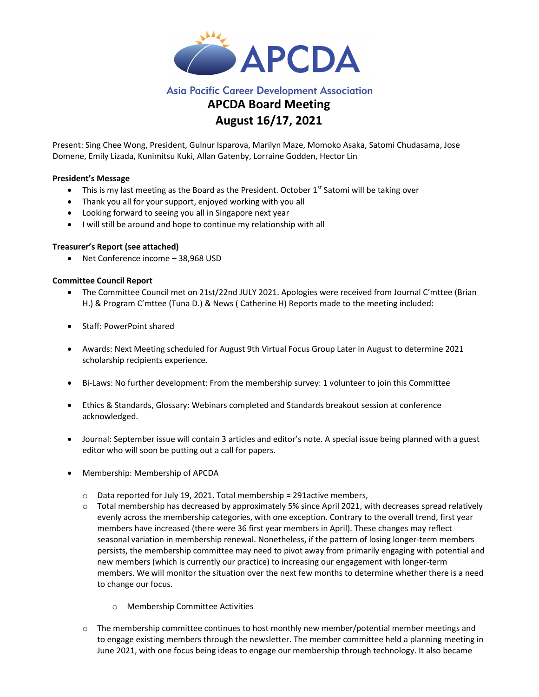

# **Asia Pacific Career Development Association**

# APCDA Board Meeting August 16/17, 2021

Present: Sing Chee Wong, President, Gulnur Isparova, Marilyn Maze, Momoko Asaka, Satomi Chudasama, Jose Domene, Emily Lizada, Kunimitsu Kuki, Allan Gatenby, Lorraine Godden, Hector Lin

#### President's Message

- $\bullet$  This is my last meeting as the Board as the President. October 1<sup>st</sup> Satomi will be taking over
- Thank you all for your support, enjoyed working with you all
- Looking forward to seeing you all in Singapore next year
- I will still be around and hope to continue my relationship with all

#### Treasurer's Report (see attached)

Net Conference income – 38,968 USD

### Committee Council Report

- The Committee Council met on 21st/22nd JULY 2021. Apologies were received from Journal C'mttee (Brian H.) & Program C'mttee (Tuna D.) & News ( Catherine H) Reports made to the meeting included:
- Staff: PowerPoint shared
- Awards: Next Meeting scheduled for August 9th Virtual Focus Group Later in August to determine 2021 scholarship recipients experience.
- Bi-Laws: No further development: From the membership survey: 1 volunteer to join this Committee
- Ethics & Standards, Glossary: Webinars completed and Standards breakout session at conference acknowledged.
- Journal: September issue will contain 3 articles and editor's note. A special issue being planned with a guest editor who will soon be putting out a call for papers.
- Membership: Membership of APCDA
	- $\circ$  Data reported for July 19, 2021. Total membership = 291active members,
	- $\circ$  Total membership has decreased by approximately 5% since April 2021, with decreases spread relatively evenly across the membership categories, with one exception. Contrary to the overall trend, first year members have increased (there were 36 first year members in April). These changes may reflect seasonal variation in membership renewal. Nonetheless, if the pattern of losing longer-term members persists, the membership committee may need to pivot away from primarily engaging with potential and new members (which is currently our practice) to increasing our engagement with longer-term members. We will monitor the situation over the next few months to determine whether there is a need to change our focus.
		- o Membership Committee Activities
	- $\circ$  The membership committee continues to host monthly new member/potential member meetings and to engage existing members through the newsletter. The member committee held a planning meeting in June 2021, with one focus being ideas to engage our membership through technology. It also became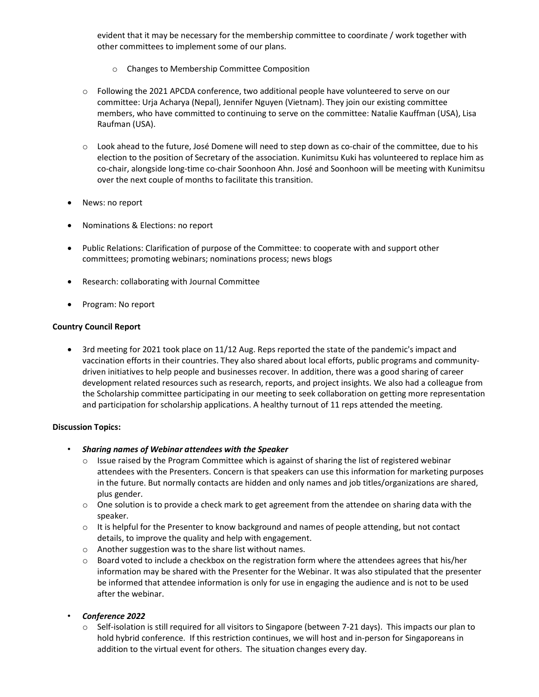evident that it may be necessary for the membership committee to coordinate / work together with other committees to implement some of our plans.

- o Changes to Membership Committee Composition
- o Following the 2021 APCDA conference, two additional people have volunteered to serve on our committee: Urja Acharya (Nepal), Jennifer Nguyen (Vietnam). They join our existing committee members, who have committed to continuing to serve on the committee: Natalie Kauffman (USA), Lisa Raufman (USA).
- o Look ahead to the future, José Domene will need to step down as co-chair of the committee, due to his election to the position of Secretary of the association. Kunimitsu Kuki has volunteered to replace him as co-chair, alongside long-time co-chair Soonhoon Ahn. José and Soonhoon will be meeting with Kunimitsu over the next couple of months to facilitate this transition.
- News: no report
- Nominations & Elections: no report
- Public Relations: Clarification of purpose of the Committee: to cooperate with and support other committees; promoting webinars; nominations process; news blogs
- Research: collaborating with Journal Committee
- Program: No report

#### Country Council Report

• 3rd meeting for 2021 took place on 11/12 Aug. Reps reported the state of the pandemic's impact and vaccination efforts in their countries. They also shared about local efforts, public programs and communitydriven initiatives to help people and businesses recover. In addition, there was a good sharing of career development related resources such as research, reports, and project insights. We also had a colleague from the Scholarship committee participating in our meeting to seek collaboration on getting more representation and participation for scholarship applications. A healthy turnout of 11 reps attended the meeting.

#### Discussion Topics:

- Sharing names of Webinar attendees with the Speaker
	- $\circ$  Issue raised by the Program Committee which is against of sharing the list of registered webinar attendees with the Presenters. Concern is that speakers can use this information for marketing purposes in the future. But normally contacts are hidden and only names and job titles/organizations are shared, plus gender.
	- $\circ$  One solution is to provide a check mark to get agreement from the attendee on sharing data with the speaker.
	- $\circ$  It is helpful for the Presenter to know background and names of people attending, but not contact details, to improve the quality and help with engagement.
	- o Another suggestion was to the share list without names.
	- o Board voted to include a checkbox on the registration form where the attendees agrees that his/her information may be shared with the Presenter for the Webinar. It was also stipulated that the presenter be informed that attendee information is only for use in engaging the audience and is not to be used after the webinar.
- Conference 2022
	- $\circ$  Self-isolation is still required for all visitors to Singapore (between 7-21 days). This impacts our plan to hold hybrid conference. If this restriction continues, we will host and in-person for Singaporeans in addition to the virtual event for others. The situation changes every day.